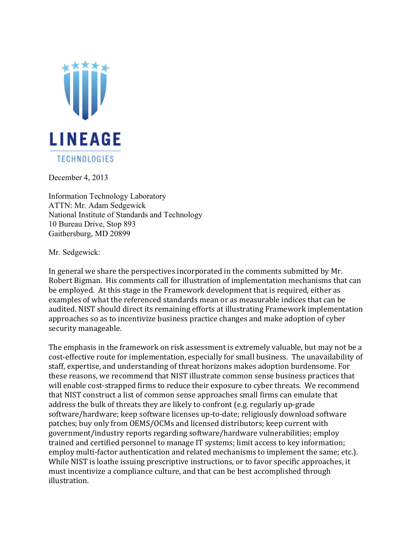

December 4, 2013

Information Technology Laboratory ATTN: Mr. Adam Sedgewick National Institute of Standards and Technology 10 Bureau Drive, Stop 893 Gaithersburg, MD 20899

Mr. Sedgewick:

In general we share the perspectives incorporated in the comments submitted by Mr. Robert Bigman. His comments call for illustration of implementation mechanisms that can be employed. At this stage in the Framework development that is required, either as examples of what the referenced standards mean or as measurable indices that can be audited. NIST should direct its remaining efforts at illustrating Framework implementation approaches so as to incentivize business practice changes and make adoption of cyber security manageable.

The emphasis in the framework on risk assessment is extremely valuable, but may not be a cost-effective route for implementation, especially for small business. The unavailability of staff, expertise, and understanding of threat horizons makes adoption burdensome. For these reasons, we recommend that NIST illustrate common sense business practices that will enable cost-strapped firms to reduce their exposure to cyber threats. We recommend that NIST construct a list of common sense approaches small firms can emulate that address the bulk of threats they are likely to confront (e.g. regularly up-grade software/hardware; keep software licenses up-to-date; religiously download software patches; buy only from OEMS/OCMs and licensed distributors; keep current with government/industry reports regarding software/hardware vulnerabilities; employ trained and certified personnel to manage IT systems; limit access to key information; employ multi-factor authentication and related mechanisms to implement the same; etc.). While NIST is loathe issuing prescriptive instructions, or to favor specific approaches, it must incentivize a compliance culture, and that can be best accomplished through illustration.